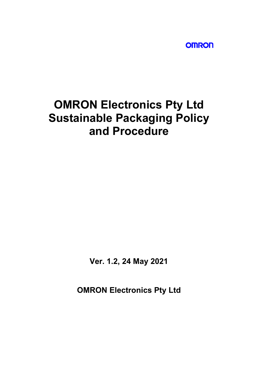**OMRON** 

# **OMRON Electronics Pty Ltd Sustainable Packaging Policy and Procedure**

**Ver. 1.2, 24 May 2021**

**OMRON Electronics Pty Ltd**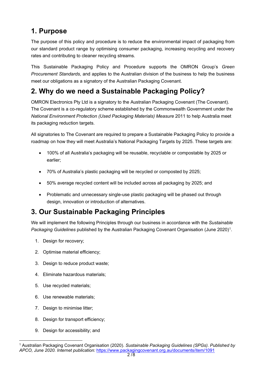## **1. Purpose**

The purpose of this policy and procedure is to reduce the environmental impact of packaging from our standard product range by optimising consumer packaging, increasing recycling and recovery rates and contributing to cleaner recycling streams.

This Sustainable Packaging Policy and Procedure supports the OMRON Group's *Green Procurement Standards*, and applies to the Australian division of the business to help the business meet our obligations as a signatory of the Australian Packaging Covenant.

## **2. Why do we need a Sustainable Packaging Policy?**

OMRON Electronics Pty Ltd is a signatory to the Australian Packaging Covenant (The Covenant). The Covenant is a co-regulatory scheme established by the Commonwealth Government under the *National Environment Protection (Used Packaging Materials) Measure* 2011 to help Australia meet its packaging reduction targets.

All signatories to The Covenant are required to prepare a Sustainable Packaging Policy to provide a roadmap on how they will meet Australia's National Packaging Targets by 2025. These targets are:

- 100% of all Australia's packaging will be reusable, recyclable or compostable by 2025 or earlier;
- 70% of Australia's plastic packaging will be recycled or composted by 2025;
- 50% average recycled content will be included across all packaging by 2025; and
- Problematic and unnecessary single-use plastic packaging will be phased out through design, innovation or introduction of alternatives.

## **3. Our Sustainable Packaging Principles**

We will implement the following Principles through our business in accordance with the *Sustainable Packaging Guidelines* published by the Australian Packaging Covenant Organisation (June 2020)[1](#page-1-0).

- 1. Design for recovery;
- 2. Optimise material efficiency;
- 3. Design to reduce product waste;
- 4. Eliminate hazardous materials;
- 5. Use recycled materials;
- 6. Use renewable materials;
- 7. Design to minimise litter;
- 8. Design for transport efficiency;
- 9. Design for accessibility; and

<span id="page-1-0"></span><sup>1</sup> Australian Packaging Covenant Organisation (2020). *Sustainable Packaging Guidelines (SPGs). Published by APCO, June 2020. Internet publication:* <https://www.packagingcovenant.org.au/documents/item/1091>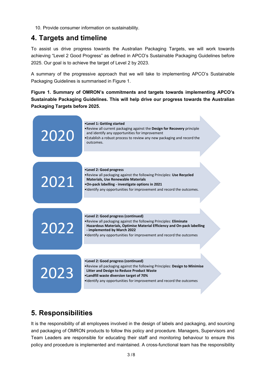10. Provide consumer information on sustainability.

#### **4. Targets and timeline**

To assist us drive progress towards the Australian Packaging Targets, we will work towards achieving "Level 2 Good Progress" as defined in APCO's Sustainable Packaging Guidelines before 2025. Our goal is to achieve the target of Level 2 by 2023.

A summary of the progressive approach that we will take to implementing APCO's Sustainable Packaging Guidelines is summarised in Figure 1.

**Figure 1. Summary of OMRON's commitments and targets towards implementing APCO's Sustainable Packaging Guidelines. This will help drive our progress towards the Australian Packaging Targets before 2025.** 



#### **5. Responsibilities**

It is the responsibility of all employees involved in the design of labels and packaging, and sourcing and packaging of OMRON products to follow this policy and procedure. Managers, Supervisors and Team Leaders are responsible for educating their staff and monitoring behaviour to ensure this policy and procedure is implemented and maintained. A cross-functional team has the responsibility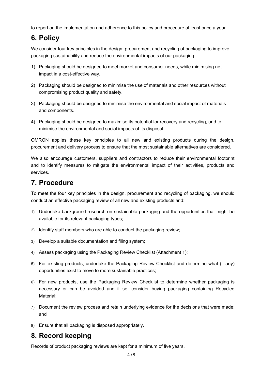to report on the implementation and adherence to this policy and procedure at least once a year.

## **6. Policy**

We consider four key principles in the design, procurement and recycling of packaging to improve packaging sustainability and reduce the environmental impacts of our packaging:

- 1) Packaging should be designed to meet market and consumer needs, while minimising net impact in a cost-effective way.
- 2) Packaging should be designed to minimise the use of materials and other resources without compromising product quality and safety.
- 3) Packaging should be designed to minimise the environmental and social impact of materials and components.
- 4) Packaging should be designed to maximise its potential for recovery and recycling, and to minimise the environmental and social impacts of its disposal.

OMRON applies these key principles to all new and existing products during the design, procurement and delivery process to ensure that the most sustainable alternatives are considered.

We also encourage customers, suppliers and contractors to reduce their environmental footprint and to identify measures to mitigate the environmental impact of their activities, products and services.

#### **7. Procedure**

To meet the four key principles in the design, procurement and recycling of packaging, we should conduct an effective packaging review of all new and existing products and:

- 1) Undertake background research on sustainable packaging and the opportunities that might be available for its relevant packaging types;
- 2) Identify staff members who are able to conduct the packaging review;
- 3) Develop a suitable documentation and filing system;
- 4) Assess packaging using the Packaging Review Checklist (Attachment 1);
- 5) For existing products, undertake the Packaging Review Checklist and determine what (if any) opportunities exist to move to more sustainable practices;
- 6) For new products, use the Packaging Review Checklist to determine whether packaging is necessary or can be avoided and if so, consider buying packaging containing Recycled Material;
- 7) Document the review process and retain underlying evidence for the decisions that were made; and
- 8) Ensure that all packaging is disposed appropriately.

#### **8. Record keeping**

Records of product packaging reviews are kept for a minimum of five years.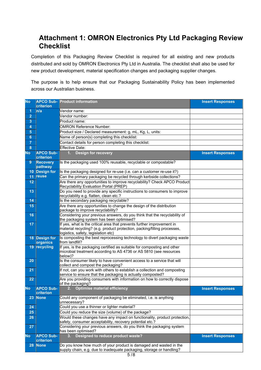#### **Attachment 1: OMRON Electronics Pty Ltd Packaging Review Checklist**

Completion of this Packaging Review Checklist is required for all existing and new products distributed and sold by OMRON Electronics Pty Ltd in Australia. The checklist shall also be used for new product development, material specification changes and packaging supplier changes.

The purpose is to help ensure that our Packaging Sustainability Policy has been implemented across our Australian business.

| <b>No</b>       | criterion                                                                                                               | <b>APCO Sub- Product information</b>                                                                                                                                                      | <b>Insert Responses</b> |
|-----------------|-------------------------------------------------------------------------------------------------------------------------|-------------------------------------------------------------------------------------------------------------------------------------------------------------------------------------------|-------------------------|
| 1               | n/a                                                                                                                     | Vendor name:                                                                                                                                                                              |                         |
| $\overline{2}$  |                                                                                                                         | Vendor number:                                                                                                                                                                            |                         |
| 3               |                                                                                                                         | Product name:                                                                                                                                                                             |                         |
| 4               |                                                                                                                         | <b>OMRON Reference Number:</b>                                                                                                                                                            |                         |
| 5               |                                                                                                                         | Product size / Declared measurement: g, mL, Kg, L, units:                                                                                                                                 |                         |
| 6               |                                                                                                                         | Name of person(s) completing this checklist:                                                                                                                                              |                         |
| $\overline{7}$  |                                                                                                                         | Contact details for person completing this checklist:                                                                                                                                     |                         |
| 8               |                                                                                                                         | <b>Effective Date:</b>                                                                                                                                                                    |                         |
| No.             | <b>APCO Sub-</b>                                                                                                        | <b>Design for recovery</b><br>1.                                                                                                                                                          | <b>Insert Responses</b> |
|                 | criterion                                                                                                               |                                                                                                                                                                                           |                         |
| 9               | <b>Recovery</b><br>pathway                                                                                              | Is the packaging used 100% reusable, recyclable or compostable?                                                                                                                           |                         |
| 10 <sub>1</sub> | <b>Design for</b>                                                                                                       | Is the packaging designed for re-use (i.e. can a customer re-use it?)                                                                                                                     |                         |
| 11              | reuse                                                                                                                   | Can the primary packaging be recycled through kerbside collections?                                                                                                                       |                         |
| 12              |                                                                                                                         | Are there any opportunities to improve recyclability? Check APCO Product<br>Recyclability Evaluation Portal (PREP)                                                                        |                         |
| 13              |                                                                                                                         | Do you need to provide any specific instructions to consumers to improve<br>recyclability e.g. flatten, clean etc.?                                                                       |                         |
| 14              |                                                                                                                         | Is the secondary packaging recyclable?                                                                                                                                                    |                         |
| 15              |                                                                                                                         | Are there any opportunities to change the design of the distribution<br>package to improve recyclability?                                                                                 |                         |
| 16              |                                                                                                                         | Considering your previous answers, do you think that the recyclability of<br>the packaging system has been optimised?                                                                     |                         |
| 17              |                                                                                                                         | If yes, what is the critical area that prevents further improvement in<br>material recycling? (e.g. product protection, packing/filling processes,<br>logistics, safety, legislation etc) |                         |
|                 | 18 Design for<br>Is composting the best reprocessing technology to divert packaging waste<br>organics<br>from landfill? |                                                                                                                                                                                           |                         |
| 19              | recycling                                                                                                               | If yes, is the packaging certified as suitable for composting and other<br>microbial treatment according to AS 4736 or AS 5810 (see resources<br>below)?                                  |                         |
| 20              |                                                                                                                         | Is the consumer likely to have convenient access to a service that will<br>collect and compost the packaging?                                                                             |                         |
| 21              |                                                                                                                         | If not, can you work with others to establish a collection and composting<br>service to ensure that the packaging is actually composted?                                                  |                         |
| 22              |                                                                                                                         | Are you providing consumers with information on how to correctly dispose<br>of the packaging?                                                                                             |                         |
| No.             | <b>APCO Sub-</b><br>criterion                                                                                           | <b>Optimise material efficiency</b><br>2.                                                                                                                                                 | <b>Insert Responses</b> |
| 23              | <b>None</b>                                                                                                             | Could any component of packaging be eliminated, i.e. is anything<br>unnecessary?                                                                                                          |                         |
| 24              |                                                                                                                         | Could you use a thinner or lighter material?                                                                                                                                              |                         |
| 25              |                                                                                                                         | Could you reduce the size (volume) of the package?                                                                                                                                        |                         |
| 26              |                                                                                                                         | Would these changes have any impact on functionality, product protection,<br>safety, consumer acceptability, recovery potential etc.?                                                     |                         |
| 27              |                                                                                                                         | Considering your previous answers, do you think the packaging system<br>has been optimised?                                                                                               |                         |
| No.             | <b>APCO Sub-</b><br>criterion                                                                                           | Designed to reduce product waste?<br>3.                                                                                                                                                   | <b>Insert Responses</b> |
| 28              | <b>None</b>                                                                                                             | Do you know how much of your product is damaged and wasted in the<br>supply chain, e.g. due to inadequate packaging, storage or handling?                                                 |                         |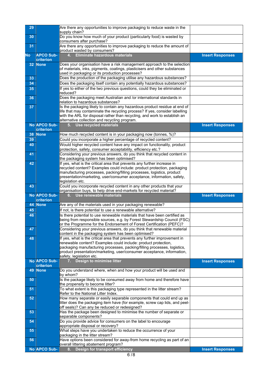| 29              |                                   | Are there any opportunities to improve packaging to reduce waste in the<br>supply chain?                                                                                                               |                         |
|-----------------|-----------------------------------|--------------------------------------------------------------------------------------------------------------------------------------------------------------------------------------------------------|-------------------------|
| 30              |                                   | Do you know how much of your product (particularly food) is wasted by<br>consumers after purchase?                                                                                                     |                         |
| 31              |                                   | Are there any opportunities to improve packaging to reduce the amount of<br>product wasted by consumers?                                                                                               |                         |
| No.             | <b>APCO Sub-</b><br>criterion     | Eliminate hazardous materials<br>4.                                                                                                                                                                    | <b>Insert Responses</b> |
| 32 <sub>2</sub> | <b>None</b>                       | Does your organisation have a risk management approach to the selection                                                                                                                                |                         |
|                 |                                   | of materials, inks, pigments, coatings, plasticisers and other substances<br>used in packaging or its production processes?                                                                            |                         |
| 33              |                                   | Does the production of the packaging utilise any hazardous substances?                                                                                                                                 |                         |
| 34              |                                   | Does the packaging itself contain any potentially hazardous substances?                                                                                                                                |                         |
| 35              |                                   | If yes to either of the two previous questions, could they be eliminated or<br>reduced?                                                                                                                |                         |
| 36              |                                   | Does the packaging meet Australian and /or international standards in<br>relation to hazardous substances?                                                                                             |                         |
| 37              |                                   | Is the packaging likely to contain any hazardous product residue at end of                                                                                                                             |                         |
|                 |                                   | life that may contaminate the recycling process? If yes, consider labelling<br>with the ARL for disposal rather than recycling, and work to establish an                                               |                         |
|                 |                                   | alternative collection and recycling program.                                                                                                                                                          |                         |
|                 | <b>No. APCO Sub-</b><br>criterion | 5. Use recycled materials                                                                                                                                                                              | <b>Insert Responses</b> |
| 38              | <b>None</b>                       | How much recycled content is in your packaging now (tonnes, %)?                                                                                                                                        |                         |
| 39              |                                   | Could you incorporate a higher percentage of recycled content?                                                                                                                                         |                         |
| 40              |                                   | Would higher recycled content have any impact on functionality, product<br>protection, safety, consumer acceptability, efficiency etc.?                                                                |                         |
| 41              |                                   | Considering your previous answers, do you think that recycled content in                                                                                                                               |                         |
| 42              |                                   | the packaging system has been optimised?<br>If yes, what is the critical area that prevents any further increase in                                                                                    |                         |
|                 |                                   | recycled content? Examples could include: product protection, packaging                                                                                                                                |                         |
|                 |                                   | manufacturing processes, packing/filling processes, logistics, product                                                                                                                                 |                         |
|                 |                                   | presentation/marketing, user/consumer acceptance, information, safety,<br>legislation etc.                                                                                                             |                         |
| 43              |                                   | Could you incorporate recycled content in any other products that your                                                                                                                                 |                         |
|                 |                                   | organisation buys, to help drive end-markets for recycled material?                                                                                                                                    |                         |
|                 | No APCO Sub-                      | 6. Use renewable materials                                                                                                                                                                             | <b>Insert Responses</b> |
|                 | criterion                         |                                                                                                                                                                                                        |                         |
| 44              | <b>None</b>                       | Are any of the materials used in your packaging renewable?                                                                                                                                             |                         |
| 45              |                                   | If not, is there potential to use a renewable alternative?                                                                                                                                             |                         |
| 46              |                                   | Is there potential to use renewable materials that have been certified as                                                                                                                              |                         |
|                 |                                   | being from responsible sources, e.g. by Forest Stewardship Council (FSC)                                                                                                                               |                         |
| 47              |                                   | or the Programme for the Endorsement of Forest Certification (PEFC)?<br>Considering your previous answers, do you think that renewable material<br>content in the packaging system has been optimised? |                         |
| 48              |                                   | If yes, what is the critical area that prevents any further improvement in                                                                                                                             |                         |
|                 |                                   | renewable content? Examples could include: product protection,                                                                                                                                         |                         |
|                 |                                   | packaging manufacturing processes, packing/filling processes, logistics,                                                                                                                               |                         |
|                 |                                   | product presentation/marketing, user/consumer acceptance, information,<br>safety, legislation etc.                                                                                                     |                         |
|                 | No APCO Sub-<br>criterion         | Design to minimise litter<br>7.                                                                                                                                                                        | <b>Insert Responses</b> |
| 49              | <b>None</b>                       | Do you understand where, when and how your product will be used and                                                                                                                                    |                         |
| 50              |                                   | by whom?<br>Is the package likely to be consumed away from home and therefore have                                                                                                                     |                         |
| 51              |                                   | the propensity to become litter?<br>To what extent is this packaging type represented in the litter stream?                                                                                            |                         |
| 52              |                                   | Refer to the National Litter Index.<br>How many separate or easily separable components that could end up as                                                                                           |                         |
|                 |                                   | litter does the packaging item have (for example, screw cap lids, and peel-                                                                                                                            |                         |
| 53              |                                   | off seals)? Can any be reduced or redesigned?<br>Has the package been designed to minimise the number of separate or                                                                                   |                         |
|                 |                                   | separable components?                                                                                                                                                                                  |                         |
| 54              |                                   | Do you provide advice for consumers on the label to encourage                                                                                                                                          |                         |
| 55              |                                   | appropriate disposal or recovery?<br>What steps have you undertaken to reduce the occurrence of your                                                                                                   |                         |
| 56              |                                   | packaging in the litter stream?<br>Have options been considered for away-from home recycling as part of an                                                                                             |                         |
|                 | <b>No. APCO Sub-</b>              | overall littering abatement program?<br>Design for transport efficiency<br>8.                                                                                                                          | <b>Insert Responses</b> |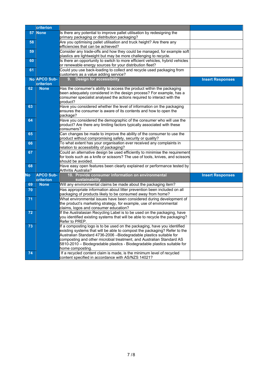|     | criterion           |                                                                                                                                                              |                         |
|-----|---------------------|--------------------------------------------------------------------------------------------------------------------------------------------------------------|-------------------------|
| 57  | <b>None</b>         | Is there any potential to improve pallet utilisation by redesigning the                                                                                      |                         |
|     |                     | primary packaging or distribution packaging?                                                                                                                 |                         |
| 58  |                     | Are you optimising pallet utilisation and truck height? Are there any                                                                                        |                         |
|     |                     | efficiencies that can be achieved?                                                                                                                           |                         |
| 59  |                     | Consider any trade-offs and how they could be managed, for example soft<br>plastics are lightweight but may be more challenging to recycle.                  |                         |
| 60  |                     | Is there an opportunity to switch to more efficient vehicles, hybrid vehicles                                                                                |                         |
|     |                     | or renewable energy sources for your distribution fleet?                                                                                                     |                         |
| 61  |                     | Could you use back-loading to collect and recycle used packaging from                                                                                        |                         |
|     |                     | customers as a value adding service?                                                                                                                         |                         |
|     | <b>No APCO Sub-</b> | <b>Design for accessibility</b><br>9.                                                                                                                        | <b>Insert Responses</b> |
|     | criterion           |                                                                                                                                                              |                         |
| 62  | <b>None</b>         | Has the consumer's ability to access the product within the packaging                                                                                        |                         |
|     |                     | been adequately considered in the design process? For example, has a                                                                                         |                         |
|     |                     | consumer specialist analysed the actions required to interact with the                                                                                       |                         |
| 63  |                     | product?<br>Have you considered whether the level of information on the packaging                                                                            |                         |
|     |                     | ensures the consumer is aware of its contents and how to open the                                                                                            |                         |
|     |                     | package?                                                                                                                                                     |                         |
| 64  |                     | Have you considered the demographic of the consumer who will use the                                                                                         |                         |
|     |                     | product? Are there any limiting factors typically associated with these                                                                                      |                         |
|     |                     | consumers?                                                                                                                                                   |                         |
| 65  |                     | Can changes be made to improve the ability of the consumer to use the                                                                                        |                         |
|     |                     | product without compromising safety, security or quality?                                                                                                    |                         |
| 66  |                     | To what extent has your organisation ever received any complaints in                                                                                         |                         |
|     |                     | relation to accessibility of packaging?                                                                                                                      |                         |
| 67  |                     | Could an alternative design be used efficiently to minimise the requirement<br>for tools such as a knife or scissors? The use of tools, knives, and scissors |                         |
|     |                     | should be avoided.                                                                                                                                           |                         |
| 68  |                     | Have easy open features been clearly explained or performance tested by                                                                                      |                         |
|     |                     | Arthritis Australia?                                                                                                                                         |                         |
| No. | <b>APCO Sub-</b>    | 10. Provide consumer information on environmental                                                                                                            | <b>Insert Responses</b> |
|     | criterion           | sustainability                                                                                                                                               |                         |
| 69  | <b>None</b>         | Will any environmental claims be made about the packaging item?                                                                                              |                         |
| 70  |                     | Has appropriate information about litter prevention been included on all                                                                                     |                         |
|     |                     | packaging of products likely to be consumed away from home?                                                                                                  |                         |
| 71  |                     | What environmental issues have been considered during development of<br>the product's marketing strategy, for example, use of environmental                  |                         |
|     |                     | claims, logos and consumer education?                                                                                                                        |                         |
| 72  |                     | If the Australasian Recycling Label is to be used on the packaging, have                                                                                     |                         |
|     |                     | you identified existing systems that will be able to recycle the packaging?                                                                                  |                         |
|     |                     | Refer to PREP.                                                                                                                                               |                         |
| 73  |                     | If a composting logo is to be used on the packaging, have you identified                                                                                     |                         |
|     |                     | existing systems that will be able to compost the packaging? Refer to the                                                                                    |                         |
|     |                     | Australian Standard 4736-2006 - Biodegradable plastics suitable for                                                                                          |                         |
|     |                     | composting and other microbial treatment, and Australian Standard AS                                                                                         |                         |
|     |                     | 5810-2010 - Biodegradable plastics - Biodegradable plastics suitable for                                                                                     |                         |
| 74  |                     | home composting.<br>If a recycled content claim is made, is the minimum level of recycled                                                                    |                         |
|     |                     | content specified in accordance with AS/NZS 14021?                                                                                                           |                         |